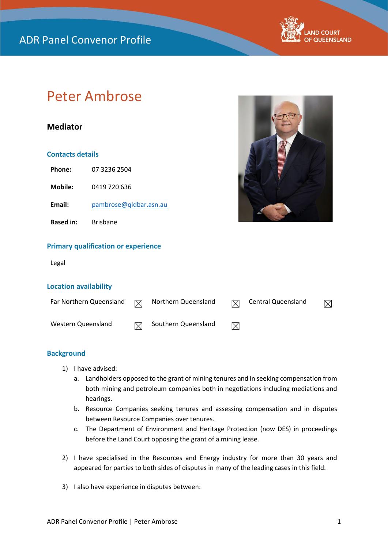

# Peter Ambrose

### **Mediator**

### **Contacts details**

**Phone:** 07 3236 2504

**Mobile:** 0419 720 636

**Email:** [pambrose@qldbar.asn.au](mailto:pambrose@qldbar.asn.au)

**Based in:** Brisbane



### **Primary qualification or experience**

Legal

### **Location availability**

| Far Northern Queensland | ▽            | Northern Queensland | 冈           | Central Queensland |  |
|-------------------------|--------------|---------------------|-------------|--------------------|--|
| Western Queensland      | $\mathsf{X}$ | Southern Queensland | $\boxtimes$ |                    |  |

### **Background**

- 1) I have advised:
	- a. Landholders opposed to the grant of mining tenures and in seeking compensation from both mining and petroleum companies both in negotiations including mediations and hearings.
	- b. Resource Companies seeking tenures and assessing compensation and in disputes between Resource Companies over tenures.
	- c. The Department of Environment and Heritage Protection (now DES) in proceedings before the Land Court opposing the grant of a mining lease.
- 2) I have specialised in the Resources and Energy industry for more than 30 years and appeared for parties to both sides of disputes in many of the leading cases in this field.
- 3) I also have experience in disputes between: